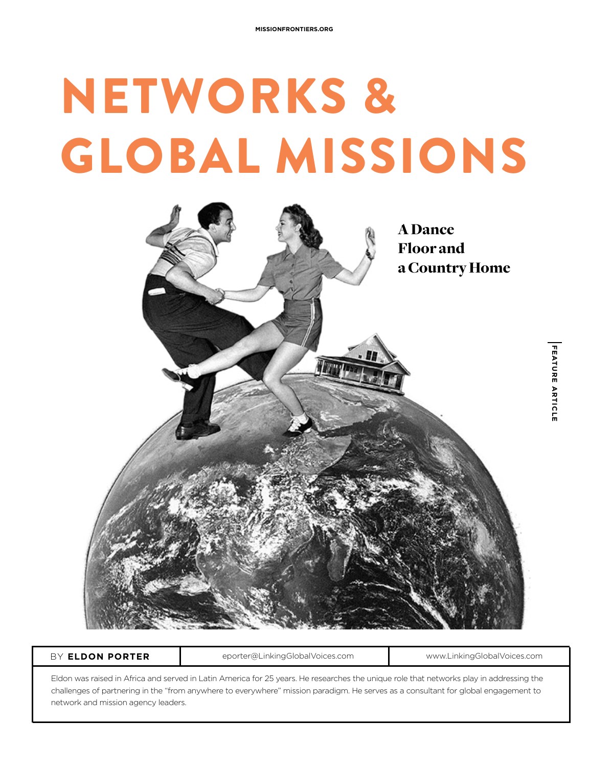# NETWORKS & GLOBAL MISSIONS



BY **ELDON PORTER** eporter@LinkingGlobalVoices.com www.LinkingGlobalVoices.com

Eldon was raised in Africa and served in Latin America for 25 years. He researches the unique role that networks play in addressing the challenges of partnering in the "from anywhere to everywhere" mission paradigm. He serves as a consultant for global engagement to network and mission agency leaders.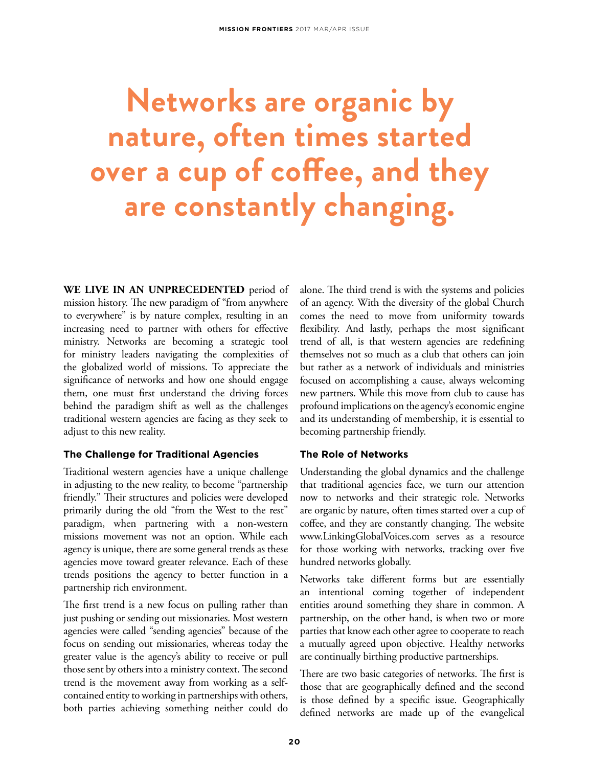## **Networks are organic by nature, often times started over a cup of coffee, and they are constantly changing.**

**WE LIVE IN AN UNPRECEDENTED** period of mission history. The new paradigm of "from anywhere to everywhere" is by nature complex, resulting in an increasing need to partner with others for effective ministry. Networks are becoming a strategic tool for ministry leaders navigating the complexities of the globalized world of missions. To appreciate the significance of networks and how one should engage them, one must first understand the driving forces behind the paradigm shift as well as the challenges traditional western agencies are facing as they seek to adjust to this new reality.

### **The Challenge for Traditional Agencies**

Traditional western agencies have a unique challenge in adjusting to the new reality, to become "partnership friendly." Their structures and policies were developed primarily during the old "from the West to the rest" paradigm, when partnering with a non-western missions movement was not an option. While each agency is unique, there are some general trends as these agencies move toward greater relevance. Each of these trends positions the agency to better function in a partnership rich environment.

The first trend is a new focus on pulling rather than just pushing or sending out missionaries. Most western agencies were called "sending agencies" because of the focus on sending out missionaries, whereas today the greater value is the agency's ability to receive or pull those sent by others into a ministry context. The second trend is the movement away from working as a selfcontained entity to working in partnerships with others, both parties achieving something neither could do

alone. The third trend is with the systems and policies of an agency. With the diversity of the global Church comes the need to move from uniformity towards flexibility. And lastly, perhaps the most significant trend of all, is that western agencies are redefining themselves not so much as a club that others can join but rather as a network of individuals and ministries focused on accomplishing a cause, always welcoming new partners. While this move from club to cause has profound implications on the agency's economic engine and its understanding of membership, it is essential to becoming partnership friendly.

### **The Role of Networks**

Understanding the global dynamics and the challenge that traditional agencies face, we turn our attention now to networks and their strategic role. Networks are organic by nature, often times started over a cup of coffee, and they are constantly changing. The website www.LinkingGlobalVoices.com serves as a resource for those working with networks, tracking over five hundred networks globally.

Networks take different forms but are essentially an intentional coming together of independent entities around something they share in common. A partnership, on the other hand, is when two or more parties that know each other agree to cooperate to reach a mutually agreed upon objective. Healthy networks are continually birthing productive partnerships.

There are two basic categories of networks. The first is those that are geographically defined and the second is those defined by a specific issue. Geographically defined networks are made up of the evangelical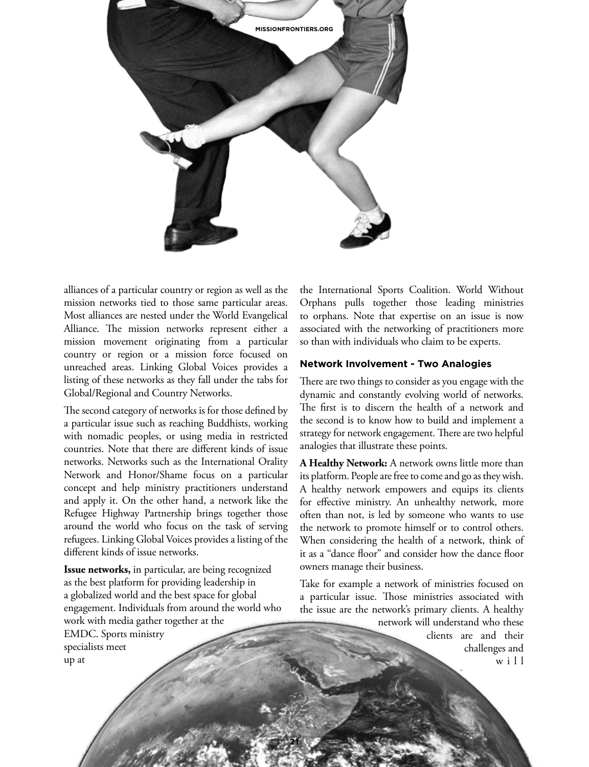

alliances of a particular country or region as well as the mission networks tied to those same particular areas. Most alliances are nested under the World Evangelical Alliance. The mission networks represent either a mission movement originating from a particular country or region or a mission force focused on unreached areas. Linking Global Voices provides a listing of these networks as they fall under the tabs for Global/Regional and Country Networks.

The second category of networks is for those defined by a particular issue such as reaching Buddhists, working with nomadic peoples, or using media in restricted countries. Note that there are different kinds of issue networks. Networks such as the International Orality Network and Honor/Shame focus on a particular concept and help ministry practitioners understand and apply it. On the other hand, a network like the Refugee Highway Partnership brings together those around the world who focus on the task of serving refugees. Linking Global Voices provides a listing of the different kinds of issue networks.

**Issue networks,** in particular, are being recognized as the best platform for providing leadership in a globalized world and the best space for global engagement. Individuals from around the world who work with media gather together at the EMDC. Sports ministry specialists meet up at

**21**

the International Sports Coalition. World Without Orphans pulls together those leading ministries to orphans. Note that expertise on an issue is now associated with the networking of practitioners more so than with individuals who claim to be experts.

#### **Network Involvement - Two Analogies**

There are two things to consider as you engage with the dynamic and constantly evolving world of networks. The first is to discern the health of a network and the second is to know how to build and implement a strategy for network engagement. There are two helpful analogies that illustrate these points.

**A Healthy Network:** A network owns little more than its platform. People are free to come and go as they wish. A healthy network empowers and equips its clients for effective ministry. An unhealthy network, more often than not, is led by someone who wants to use the network to promote himself or to control others. When considering the health of a network, think of it as a "dance floor" and consider how the dance floor owners manage their business.

Take for example a network of ministries focused on a particular issue. Those ministries associated with the issue are the network's primary clients. A healthy

network will understand who these clients are and their challenges and w i l l